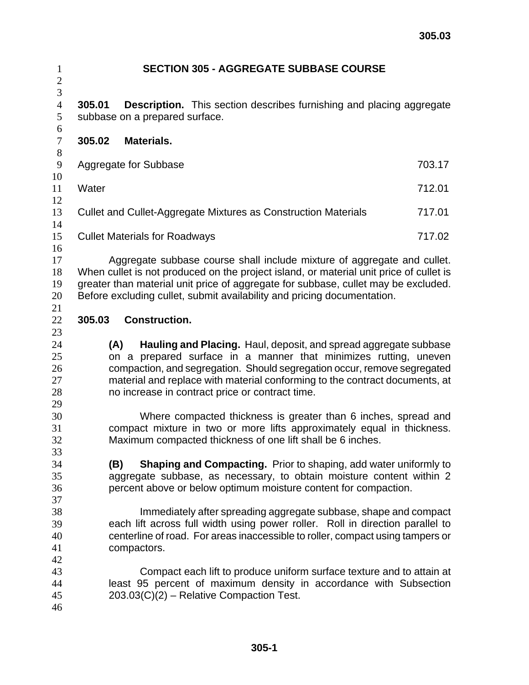| 1                                       | <b>SECTION 305 - AGGREGATE SUBBASE COURSE</b>                                                                                                                                                                                                                                                                                                             |                                                                                                                                            |  |
|-----------------------------------------|-----------------------------------------------------------------------------------------------------------------------------------------------------------------------------------------------------------------------------------------------------------------------------------------------------------------------------------------------------------|--------------------------------------------------------------------------------------------------------------------------------------------|--|
| $\overline{c}$<br>$\overline{3}$        |                                                                                                                                                                                                                                                                                                                                                           |                                                                                                                                            |  |
| $\overline{4}$<br>$\mathfrak s$         | 305.01<br><b>Description.</b> This section describes furnishing and placing aggregate<br>subbase on a prepared surface.                                                                                                                                                                                                                                   |                                                                                                                                            |  |
| $\sqrt{6}$<br>$\boldsymbol{7}$<br>$8\,$ | 305.02<br><b>Materials.</b>                                                                                                                                                                                                                                                                                                                               |                                                                                                                                            |  |
| 9<br>10                                 | Aggregate for Subbase                                                                                                                                                                                                                                                                                                                                     | 703.17                                                                                                                                     |  |
| 11                                      | Water                                                                                                                                                                                                                                                                                                                                                     | 712.01                                                                                                                                     |  |
| 12<br>13                                | Cullet and Cullet-Aggregate Mixtures as Construction Materials                                                                                                                                                                                                                                                                                            | 717.01                                                                                                                                     |  |
| 14<br>15                                | <b>Cullet Materials for Roadways</b>                                                                                                                                                                                                                                                                                                                      | 717.02                                                                                                                                     |  |
| 16                                      |                                                                                                                                                                                                                                                                                                                                                           |                                                                                                                                            |  |
| 17<br>18<br>19<br>20                    | Aggregate subbase course shall include mixture of aggregate and cullet.<br>When cullet is not produced on the project island, or material unit price of cullet is<br>greater than material unit price of aggregate for subbase, cullet may be excluded.<br>Before excluding cullet, submit availability and pricing documentation.                        |                                                                                                                                            |  |
| 21<br>22<br>23                          | 305.03<br><b>Construction.</b>                                                                                                                                                                                                                                                                                                                            |                                                                                                                                            |  |
| 24<br>25<br>26<br>27<br>28              | Hauling and Placing. Haul, deposit, and spread aggregate subbase<br>(A)<br>on a prepared surface in a manner that minimizes rutting, uneven<br>compaction, and segregation. Should segregation occur, remove segregated<br>material and replace with material conforming to the contract documents, at<br>no increase in contract price or contract time. |                                                                                                                                            |  |
| 29<br>30<br>31<br>32                    | Maximum compacted thickness of one lift shall be 6 inches.                                                                                                                                                                                                                                                                                                | Where compacted thickness is greater than 6 inches, spread and<br>compact mixture in two or more lifts approximately equal in thickness.   |  |
| 33<br>34<br>35<br>36                    | <b>Shaping and Compacting.</b> Prior to shaping, add water uniformly to<br>(B)<br>aggregate subbase, as necessary, to obtain moisture content within 2<br>percent above or below optimum moisture content for compaction.                                                                                                                                 |                                                                                                                                            |  |
| 37<br>38<br>39<br>40<br>41              | Immediately after spreading aggregate subbase, shape and compact<br>each lift across full width using power roller. Roll in direction parallel to<br>centerline of road. For areas inaccessible to roller, compact using tampers or<br>compactors.                                                                                                        |                                                                                                                                            |  |
| 42<br>43<br>44<br>45<br>46              | 203.03(C)(2) - Relative Compaction Test.                                                                                                                                                                                                                                                                                                                  | Compact each lift to produce uniform surface texture and to attain at<br>least 95 percent of maximum density in accordance with Subsection |  |